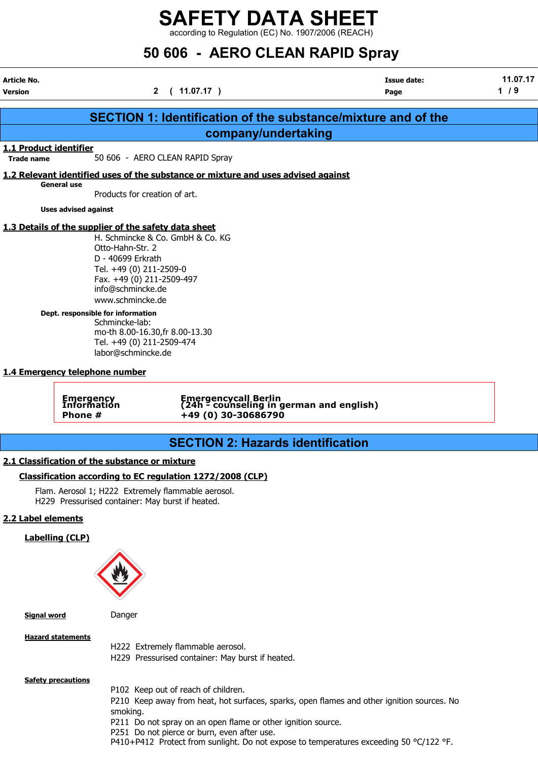according to Regulation (EC) No. 1907/2006 (REACH)

## 50 606 - AERO CLEAN RAPID Spray

| Article No.<br><b>Version</b>               |                                                                                                                                                                                                                                                                                                                                            | 2 ( 11.07.17 )                                                                        | <b>Issue date:</b><br>Page                                                                 | 11.07.17<br>$1/9$ |
|---------------------------------------------|--------------------------------------------------------------------------------------------------------------------------------------------------------------------------------------------------------------------------------------------------------------------------------------------------------------------------------------------|---------------------------------------------------------------------------------------|--------------------------------------------------------------------------------------------|-------------------|
|                                             |                                                                                                                                                                                                                                                                                                                                            |                                                                                       | <b>SECTION 1: Identification of the substance/mixture and of the</b>                       |                   |
|                                             |                                                                                                                                                                                                                                                                                                                                            | company/undertaking                                                                   |                                                                                            |                   |
| 1.1 Product identifier<br><b>Trade name</b> |                                                                                                                                                                                                                                                                                                                                            | 50 606 - AERO CLEAN RAPID Spray                                                       |                                                                                            |                   |
|                                             |                                                                                                                                                                                                                                                                                                                                            | 1.2 Relevant identified uses of the substance or mixture and uses advised against     |                                                                                            |                   |
|                                             | <b>General use</b><br>Products for creation of art.                                                                                                                                                                                                                                                                                        |                                                                                       |                                                                                            |                   |
|                                             | <b>Uses advised against</b>                                                                                                                                                                                                                                                                                                                |                                                                                       |                                                                                            |                   |
|                                             | 1.3 Details of the supplier of the safety data sheet<br>Otto-Hahn-Str. 2<br>D - 40699 Erkrath<br>Tel. +49 (0) 211-2509-0<br>Fax. +49 (0) 211-2509-497<br>info@schmincke.de<br>www.schmincke.de<br>Dept. responsible for information<br>Schmincke-lab:<br>Tel. +49 (0) 211-2509-474<br>labor@schmincke.de<br>1.4 Emergency telephone number | H. Schmincke & Co. GmbH & Co. KG<br>mo-th 8.00-16.30, fr 8.00-13.30                   |                                                                                            |                   |
|                                             |                                                                                                                                                                                                                                                                                                                                            |                                                                                       |                                                                                            |                   |
|                                             | <b>Emergency</b><br>Information<br>Phone #                                                                                                                                                                                                                                                                                                 | +49 (0) 30-30686790                                                                   | Emergencycall Berlin<br>(24h - counseling in german and english)                           |                   |
|                                             |                                                                                                                                                                                                                                                                                                                                            | <b>SECTION 2: Hazards identification</b>                                              |                                                                                            |                   |
|                                             | 2.1 Classification of the substance or mixture                                                                                                                                                                                                                                                                                             |                                                                                       |                                                                                            |                   |
|                                             |                                                                                                                                                                                                                                                                                                                                            | Classification according to EC regulation 1272/2008 (CLP)                             |                                                                                            |                   |
|                                             | Flam. Aerosol 1; H222 Extremely flammable aerosol.<br>H229 Pressurised container: May burst if heated.                                                                                                                                                                                                                                     |                                                                                       |                                                                                            |                   |
| 2.2 Label elements                          |                                                                                                                                                                                                                                                                                                                                            |                                                                                       |                                                                                            |                   |
|                                             | <b>Labelling (CLP)</b>                                                                                                                                                                                                                                                                                                                     |                                                                                       |                                                                                            |                   |
|                                             |                                                                                                                                                                                                                                                                                                                                            |                                                                                       |                                                                                            |                   |
| <b>Signal word</b>                          | Danger                                                                                                                                                                                                                                                                                                                                     |                                                                                       |                                                                                            |                   |
|                                             | <b>Hazard statements</b>                                                                                                                                                                                                                                                                                                                   | H222 Extremely flammable aerosol.<br>H229 Pressurised container: May burst if heated. |                                                                                            |                   |
|                                             | <b>Safety precautions</b><br>smoking.                                                                                                                                                                                                                                                                                                      | P102 Keep out of reach of children.                                                   | P210 Keep away from heat, hot surfaces, sparks, open flames and other ignition sources. No |                   |

P211 Do not spray on an open flame or other ignition source.

P251 Do not pierce or burn, even after use.

P410+P412 Protect from sunlight. Do not expose to temperatures exceeding 50 °C/122 °F.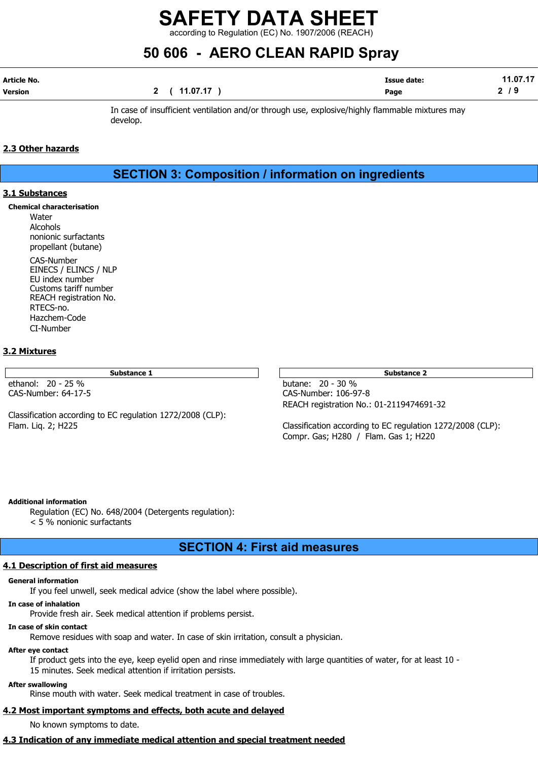according to Regulation (EC) No. 1907/2006 (REACH)

## 50 606 - AERO CLEAN RAPID Spray

| Article No. |                        | Issue date: | 1.07.17 |
|-------------|------------------------|-------------|---------|
| Version     | 0747<br>44<br>.<br>. . | Page        |         |

In case of insufficient ventilation and/or through use, explosive/highly flammable mixtures may develop.

#### 2.3 Other hazards

## SECTION 3: Composition / information on ingredients

#### 3.1 Substances

Chemical characterisation **Water** Alcohols nonionic surfactants propellant (butane) CAS-Number EINECS / ELINCS / NLP EU index number Customs tariff number REACH registration No. RTECS-no. Hazchem-Code CI-Number

#### 3.2 Mixtures

ethanol: 20 - 25 % butane: 20 - 30 %

Classification according to EC regulation 1272/2008 (CLP):

# Substance 1 Substance 2 Substance 2 Substance 2 Substance 2 Substance 2 Substance 2 Substance 2 Substance 2 Substance 2 Substance 2 Substance 2 Substance 2 Substance 2 Substance 2 Substance 2 Substance 2 Substance 2 Substa

CAS-Number: 106-97-8 REACH registration No.: 01-2119474691-32

Flam. Liq. 2; H225 Classification according to EC regulation 1272/2008 (CLP): Compr. Gas; H280 / Flam. Gas 1; H220

#### Additional information

Regulation (EC) No. 648/2004 (Detergents regulation): < 5 % nonionic surfactants

## SECTION 4: First aid measures

#### 4.1 Description of first aid measures

#### General information

If you feel unwell, seek medical advice (show the label where possible).

### In case of inhalation

Provide fresh air. Seek medical attention if problems persist.

### In case of skin contact

Remove residues with soap and water. In case of skin irritation, consult a physician.

### After eye contact

If product gets into the eye, keep eyelid open and rinse immediately with large quantities of water, for at least 10 - 15 minutes. Seek medical attention if irritation persists.

### After swallowing

Rinse mouth with water. Seek medical treatment in case of troubles.

## 4.2 Most important symptoms and effects, both acute and delayed

No known symptoms to date.

## 4.3 Indication of any immediate medical attention and special treatment needed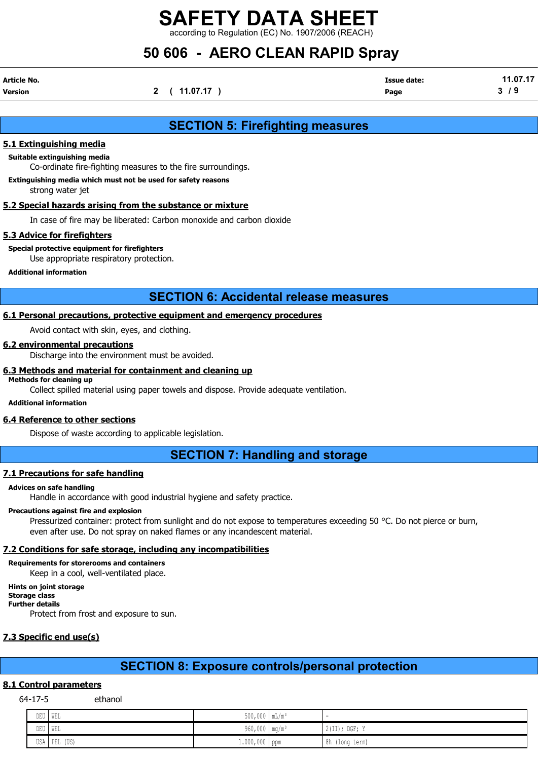cording to Regulation (EC) No. 1907/2006 (REACH)

## 50 606 - AERO CLEAN RAPID Spray

| <b>Article No.</b> |               | <b>Issue date:</b> | 11.07.17 |
|--------------------|---------------|--------------------|----------|
| Version            | 11.07.17<br>_ | Page               | . v      |

## SECTION 5: Firefighting measures

#### 5.1 Extinguishing media

#### Suitable extinguishing media

Co-ordinate fire-fighting measures to the fire surroundings.

#### Extinguishing media which must not be used for safety reasons

strong water jet

#### 5.2 Special hazards arising from the substance or mixture

In case of fire may be liberated: Carbon monoxide and carbon dioxide

#### 5.3 Advice for firefighters

Special protective equipment for firefighters

Use appropriate respiratory protection.

#### Additional information

### SECTION 6: Accidental release measures

#### 6.1 Personal precautions, protective equipment and emergency procedures

Avoid contact with skin, eyes, and clothing.

#### 6.2 environmental precautions

Discharge into the environment must be avoided.

#### 6.3 Methods and material for containment and cleaning up

### Methods for cleaning up

Collect spilled material using paper towels and dispose. Provide adequate ventilation.

#### Additional information

#### 6.4 Reference to other sections

Dispose of waste according to applicable legislation.

## SECTION 7: Handling and storage

#### 7.1 Precautions for safe handling

#### Advices on safe handling

Handle in accordance with good industrial hygiene and safety practice.

#### Precautions against fire and explosion

Pressurized container: protect from sunlight and do not expose to temperatures exceeding 50 °C. Do not pierce or burn, even after use. Do not spray on naked flames or any incandescent material.

### 7.2 Conditions for safe storage, including any incompatibilities

#### Requirements for storerooms and containers

Keep in a cool, well-ventilated place.

#### Hints on joint storage

#### Storage class Further details

Protect from frost and exposure to sun.

## 7.3 Specific end use(s)

## SECTION 8: Exposure controls/personal protection

### 8.1 Control parameters

64-17-5

| DEU   WEL |              | $500,000$ mL/m <sup>3</sup> | $\overline{\phantom{a}}$ |
|-----------|--------------|-----------------------------|--------------------------|
| DEU       | WEL          | 960,000 mg/m <sup>3</sup>   | $2$ (II); DGF; Y         |
|           | USA PEL (US) | ⊥.000,000 ppm               | (long term)<br>8h        |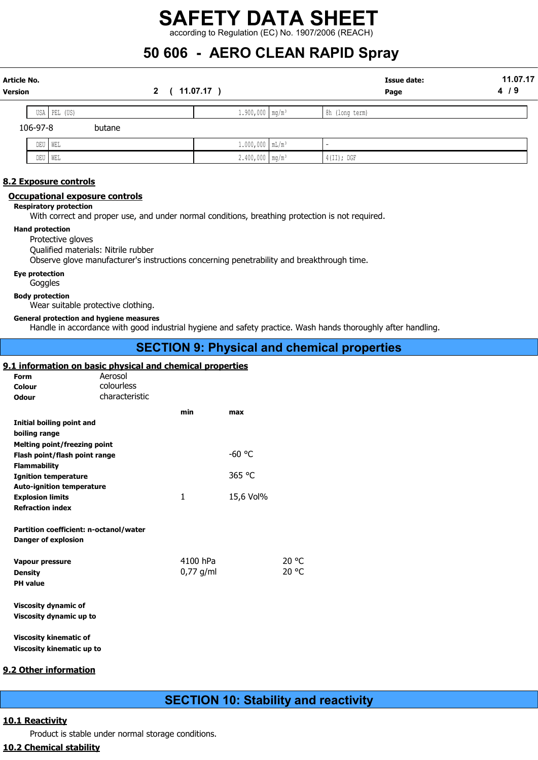according to Regulation (EC) No. 1907/2006 (REACH)

## 50 606 - AERO CLEAN RAPID Spray

| Article No.<br>Version |              | $11.07.17$ ) |                               | <b>Issue date:</b><br>Page | 11.07.17<br>4/9 |
|------------------------|--------------|--------------|-------------------------------|----------------------------|-----------------|
|                        | USA PEL (US) |              | $1.900,000$ mg/m <sup>3</sup> | 8h (long term)             |                 |
| 106-97-8               | butane       |              |                               |                            |                 |
| DEU                    | WEL          |              | $1.000,000$ $mL/m^3$          |                            |                 |
| DEU                    | WEL          |              | $2.400,000$ mg/m <sup>3</sup> | $4$ (II); DGF              |                 |

#### 8.2 Exposure controls

#### Occupational exposure controls

#### Respiratory protection

With correct and proper use, and under normal conditions, breathing protection is not required.

#### Hand protection

Protective gloves

Qualified materials: Nitrile rubber

Observe glove manufacturer's instructions concerning penetrability and breakthrough time.

Eye protection

Goggles

Body protection

Wear suitable protective clothing.

#### General protection and hygiene measures

Handle in accordance with good industrial hygiene and safety practice. Wash hands thoroughly after handling.

### SECTION 9: Physical and chemical properties

#### 9.1 information on basic physical and chemical properties

| Form                                   | Aerosol        |              |           |       |
|----------------------------------------|----------------|--------------|-----------|-------|
| Colour                                 | colourless     |              |           |       |
| <b>Odour</b>                           | characteristic |              |           |       |
|                                        |                | min          | max       |       |
| Initial boiling point and              |                |              |           |       |
| boiling range                          |                |              |           |       |
| <b>Melting point/freezing point</b>    |                |              |           |       |
| Flash point/flash point range          |                |              | $-60$ °C  |       |
| <b>Flammability</b>                    |                |              |           |       |
| <b>Ignition temperature</b>            |                |              | 365 °C    |       |
| <b>Auto-ignition temperature</b>       |                |              |           |       |
| <b>Explosion limits</b>                |                | $\mathbf{1}$ | 15,6 Vol% |       |
| <b>Refraction index</b>                |                |              |           |       |
| Partition coefficient: n-octanol/water |                |              |           |       |
| <b>Danger of explosion</b>             |                |              |           |       |
|                                        |                |              |           |       |
| <b>Vapour pressure</b>                 |                | 4100 hPa     |           | 20 °C |
| <b>Density</b>                         |                | $0,77$ g/ml  |           | 20 °C |
| <b>PH</b> value                        |                |              |           |       |
|                                        |                |              |           |       |
| <b>Viscosity dynamic of</b>            |                |              |           |       |
| Viscosity dynamic up to                |                |              |           |       |
|                                        |                |              |           |       |
| <b>Viscosity kinematic of</b>          |                |              |           |       |
| Viscosity kinematic up to              |                |              |           |       |
|                                        |                |              |           |       |

#### 9.2 Other information

## SECTION 10: Stability and reactivity

#### 10.1 Reactivity

Product is stable under normal storage conditions.

#### 10.2 Chemical stability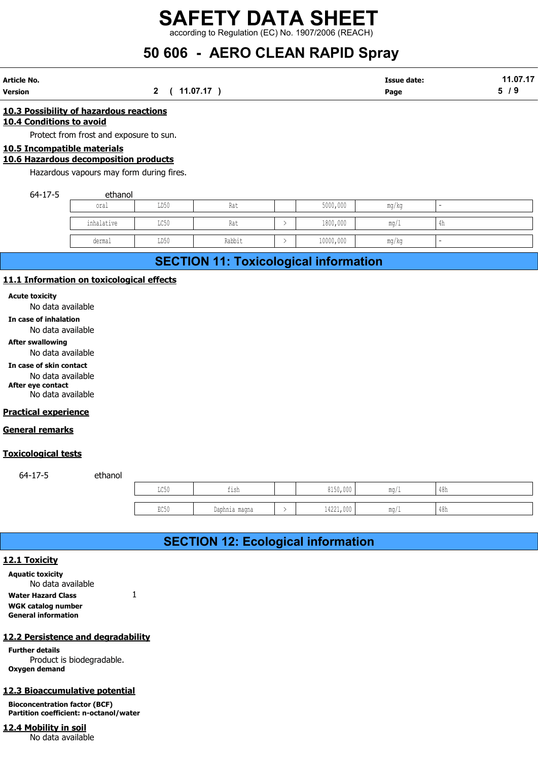## 50 606 - AERO CLEAN RAPID Spray

| Article No. |                    | Issue date: | $\overline{1}$ $\overline{2}$ $\overline{3}$ |
|-------------|--------------------|-------------|----------------------------------------------|
| Version     | 0747<br><b>A</b> 4 | Page        |                                              |

#### 10.3 Possibility of hazardous reactions

10.4 Conditions to avoid

Protect from frost and exposure to sun.

#### 10.5 Incompatible materials

#### 10.6 Hazardous decomposition products

Hazardous vapours may form during fires.

#### 64-17-5 ethanol

| <b>Issue date:</b><br>5/9<br>2 ( 11.07.17 )<br>Page<br><u>ty of hazardous reactions</u><br><u>ns to avoid</u><br>from frost and exposure to sun.<br><u>itible materials</u><br><u>us decomposition products</u><br>us vapours may form during fires.<br>ethanol<br>LD50<br>5000,000<br>mg/kg<br>Rat<br>oral<br>$\blacksquare$<br>4h<br>inhalative<br>LC50<br>1800,000<br>mq/1<br>Rat<br>$\rightarrow$<br>10000,000<br>LD50<br>Rabbit<br>mg/kg<br>dermal<br>$\rightarrow$<br>$\overline{\phantom{a}}$ | 11.07.17 |
|------------------------------------------------------------------------------------------------------------------------------------------------------------------------------------------------------------------------------------------------------------------------------------------------------------------------------------------------------------------------------------------------------------------------------------------------------------------------------------------------------|----------|
|                                                                                                                                                                                                                                                                                                                                                                                                                                                                                                      |          |
|                                                                                                                                                                                                                                                                                                                                                                                                                                                                                                      |          |
|                                                                                                                                                                                                                                                                                                                                                                                                                                                                                                      |          |
|                                                                                                                                                                                                                                                                                                                                                                                                                                                                                                      |          |
|                                                                                                                                                                                                                                                                                                                                                                                                                                                                                                      |          |
|                                                                                                                                                                                                                                                                                                                                                                                                                                                                                                      |          |
|                                                                                                                                                                                                                                                                                                                                                                                                                                                                                                      |          |
|                                                                                                                                                                                                                                                                                                                                                                                                                                                                                                      |          |
|                                                                                                                                                                                                                                                                                                                                                                                                                                                                                                      |          |
|                                                                                                                                                                                                                                                                                                                                                                                                                                                                                                      |          |
| <b>SECTION 11: Toxicological information</b>                                                                                                                                                                                                                                                                                                                                                                                                                                                         |          |

## SECTION 11: Toxicological information

#### 11.1 Information on toxicological effects

Acute toxicity

No data available

In case of inhalation

No data available

After swallowing

No data available

In case of skin contact

No data available After eye contact

No data available

#### Practical experience

#### General remarks

#### Toxicological tests

64-17-5 ethanol

|   | <u>logical effects</u> |                                           |         |           |                          |                |  |
|---|------------------------|-------------------------------------------|---------|-----------|--------------------------|----------------|--|
|   |                        |                                           |         |           |                          |                |  |
|   |                        |                                           |         |           |                          |                |  |
|   |                        |                                           |         |           |                          |                |  |
|   |                        |                                           |         |           |                          |                |  |
|   |                        |                                           |         |           |                          |                |  |
|   |                        |                                           |         |           |                          |                |  |
|   |                        |                                           |         |           |                          |                |  |
|   |                        |                                           |         |           |                          |                |  |
|   |                        |                                           |         |           |                          |                |  |
|   |                        |                                           |         |           |                          |                |  |
| ) |                        |                                           |         |           |                          |                |  |
|   | $_{\rm LC50}$          | fish                                      |         | 8150,000  | $\texttt{mg}/\texttt{l}$ | $48\mathrm{h}$ |  |
|   | EC50                   | Daphnia magna                             | $\,>\,$ | 14221,000 | $\mathrm{mg}/\mathrm{1}$ | 48h            |  |
|   |                        |                                           |         |           |                          |                |  |
|   |                        | <b>SECTION 12: Ecological information</b> |         |           |                          |                |  |
|   |                        |                                           |         |           |                          |                |  |
|   |                        |                                           |         |           |                          |                |  |
|   |                        |                                           |         |           |                          |                |  |

## SECTION 12: Ecological information

#### 12.1 Toxicity

Aquatic toxicity No data available Water Hazard Class 1 WGK catalog number General information

#### 12.2 Persistence and degradability

Further details Product is biodegradable. Oxygen demand

#### 12.3 Bioaccumulative potential

Bioconcentration factor (BCF) Partition coefficient: n-octanol/water

## 12.4 Mobility in soil

No data available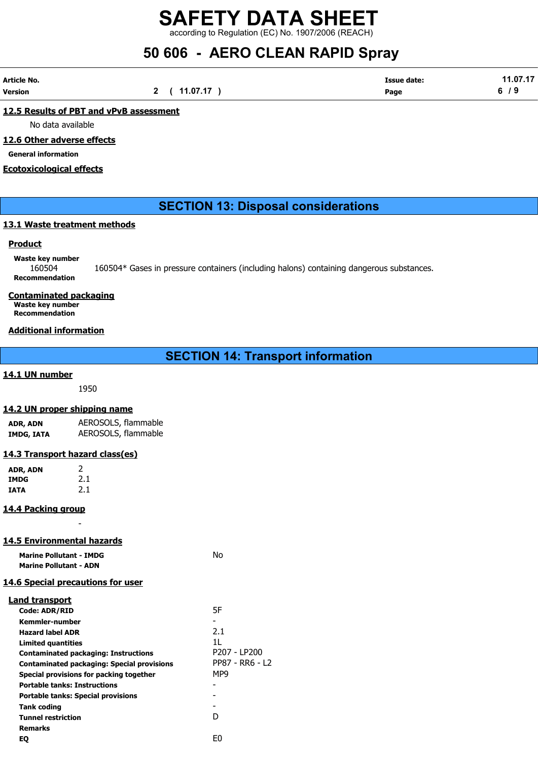according to Regulation (EC) No. 1907/2006 (REACH)

## 50 606 - AERO CLEAN RAPID Spray

| Article No. |              | <b>Issue date:</b> | 11.07.17 |
|-------------|--------------|--------------------|----------|
| Version     | 2 ( 11.07.17 | Page               | 6/9      |

#### 12.5 Results of PBT and vPvB assessment

No data available

#### 12.6 Other adverse effects

General information

#### Ecotoxicological effects

## SECTION 13: Disposal considerations

#### 13.1 Waste treatment methods

#### **Product**

#### Waste key number

160504 160504\* Gases in pressure containers (including halons) containing dangerous substances. Recommendation

#### Contaminated packaging

Waste key number Recommendation

#### Additional information

## SECTION 14: Transport information

#### 14.1 UN number

1950

#### 14.2 UN proper shipping name

| ADR, ADN   | AEROSOLS, flammable |
|------------|---------------------|
| IMDG, IATA | AEROSOLS, flammable |

#### 14.3 Transport hazard class(es)

| ADR, ADN | 2   |
|----------|-----|
| IMDG     | 2.1 |
| IATA     | 2.1 |

#### 14.4 Packing group

Remarks

## 14.5 Environmental hazards

-

| 14.5 Environmentai nazarus                                      |                 |
|-----------------------------------------------------------------|-----------------|
| <b>Marine Pollutant - IMDG</b><br><b>Marine Pollutant - ADN</b> | Nο              |
| 14.6 Special precautions for user                               |                 |
| <b>Land transport</b>                                           |                 |
| <b>Code: ADR/RID</b>                                            | 5F              |
| Kemmler-number                                                  |                 |
| <b>Hazard label ADR</b>                                         | 2.1             |
| Limited quantities                                              | 11              |
| <b>Contaminated packaging: Instructions</b>                     | P207 - LP200    |
| <b>Contaminated packaging: Special provisions</b>               | PP87 - RR6 - L2 |
| Special provisions for packing together                         | MP9             |
|                                                                 |                 |

Portable tanks: Instructions **Following Structions** Portable tanks: Special provisions - Tank coding and the state of the state of the state of the state of the state of the state of the state of the state of the state of the state of the state of the state of the state of the state of the state of the state o Tunnel restriction D

 $EQ$  and  $EQ$  and  $EQ$  and  $EQ$  and  $EQ$  and  $EQ$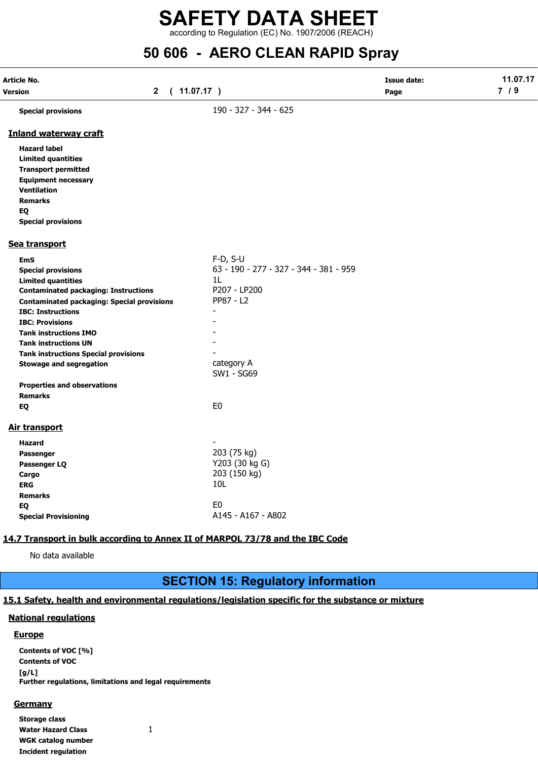according to Regulation (EC) No. 1907/2006 (REACH)

## 50 606 - AERO CLEAN RAPID Spray

| Article No.<br>Version                            | (11.07.17)<br>$\mathbf{2}$             | <b>Issue date:</b><br>Page | 11.07.17<br>7/9 |
|---------------------------------------------------|----------------------------------------|----------------------------|-----------------|
| <b>Special provisions</b>                         | 190 - 327 - 344 - 625                  |                            |                 |
| <b>Inland waterway craft</b>                      |                                        |                            |                 |
| <b>Hazard label</b>                               |                                        |                            |                 |
| <b>Limited quantities</b>                         |                                        |                            |                 |
| <b>Transport permitted</b>                        |                                        |                            |                 |
| <b>Equipment necessary</b>                        |                                        |                            |                 |
| <b>Ventilation</b>                                |                                        |                            |                 |
| <b>Remarks</b>                                    |                                        |                            |                 |
| EQ                                                |                                        |                            |                 |
| <b>Special provisions</b>                         |                                        |                            |                 |
| Sea transport                                     |                                        |                            |                 |
| <b>EmS</b>                                        | $F-D, S-U$                             |                            |                 |
| <b>Special provisions</b>                         | 63 - 190 - 277 - 327 - 344 - 381 - 959 |                            |                 |
| <b>Limited quantities</b>                         | 1L                                     |                            |                 |
| <b>Contaminated packaging: Instructions</b>       | P207 - LP200                           |                            |                 |
| <b>Contaminated packaging: Special provisions</b> | PP87 - L2                              |                            |                 |
| <b>IBC: Instructions</b>                          |                                        |                            |                 |
| <b>IBC: Provisions</b>                            |                                        |                            |                 |
| <b>Tank instructions IMO</b>                      |                                        |                            |                 |
| <b>Tank instructions UN</b>                       |                                        |                            |                 |
| <b>Tank instructions Special provisions</b>       |                                        |                            |                 |
| <b>Stowage and segregation</b>                    | category A<br>SW1 - SG69               |                            |                 |
| <b>Properties and observations</b>                |                                        |                            |                 |
| <b>Remarks</b>                                    |                                        |                            |                 |
| EQ                                                | E <sub>0</sub>                         |                            |                 |
| Air transport                                     |                                        |                            |                 |
| <b>Hazard</b>                                     |                                        |                            |                 |
| Passenger                                         | 203 (75 kg)                            |                            |                 |
| Passenger LQ                                      | Y203 (30 kg G)                         |                            |                 |
| Cargo                                             | 203 (150 kg)                           |                            |                 |
| <b>ERG</b>                                        | 10L                                    |                            |                 |
| <b>Remarks</b>                                    |                                        |                            |                 |
| EQ                                                | E <sub>0</sub>                         |                            |                 |
| <b>Special Provisioning</b>                       | A145 - A167 - A802                     |                            |                 |

No data available

## SECTION 15: Regulatory information

#### 15.1 Safety, health and environmental regulations/legislation specific for the substance or mixture

#### National regulations

#### **Europe**

Contents of VOC [%] Contents of VOC  $[g/L]$ Further regulations, limitations and legal requirements

#### **Germany**

Storage class Water Hazard Class  $1$ WGK catalog number Incident regulation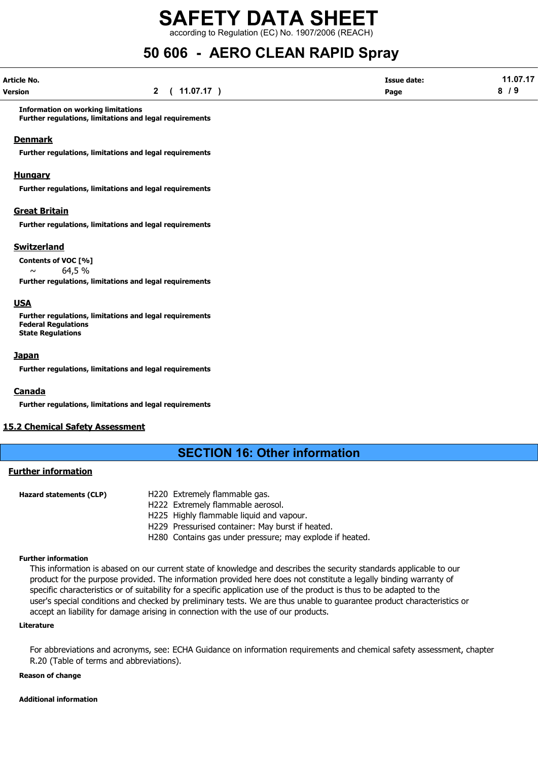according to Regulation (EC) No. 1907/2006 (REACH)

## 50 606 - AERO CLEAN RAPID Spray

| Article No.    |          | <b>Issue date:</b> | 1.07.17 |
|----------------|----------|--------------------|---------|
| <b>Version</b> | 11.07.17 | Page               | o       |

Information on working limitations Further regulations, limitations and legal requirements

#### Denmark

Further regulations, limitations and legal requirements

#### **Hungary**

Further regulations, limitations and legal requirements

#### Great Britain

Further regulations, limitations and legal requirements

#### **Switzerland**

Contents of VOC [%]  $\sim$  64,5 % Further regulations, limitations and legal requirements

#### USA

Further regulations, limitations and legal requirements Federal Regulations State Regulations

#### Japan

Further regulations, limitations and legal requirements

#### Canada

Further regulations, limitations and legal requirements

#### 15.2 Chemical Safety Assessment

## SECTION 16: Other information

#### Further information

| Hazard statements (CLP) | H220 Extremely flammable gas.                            |
|-------------------------|----------------------------------------------------------|
|                         | H222 Extremely flammable aerosol.                        |
|                         | H225 Highly flammable liquid and vapour.                 |
|                         | H229 Pressurised container: May burst if heated.         |
|                         | H280 Contains gas under pressure; may explode if heated. |
|                         |                                                          |

#### Further information

This information is abased on our current state of knowledge and describes the security standards applicable to our product for the purpose provided. The information provided here does not constitute a legally binding warranty of specific characteristics or of suitability for a specific application use of the product is thus to be adapted to the user's special conditions and checked by preliminary tests. We are thus unable to guarantee product characteristics or accept an liability for damage arising in connection with the use of our products.

#### Literature

For abbreviations and acronyms, see: ECHA Guidance on information requirements and chemical safety assessment, chapter R.20 (Table of terms and abbreviations).

#### Reason of change

#### Additional information